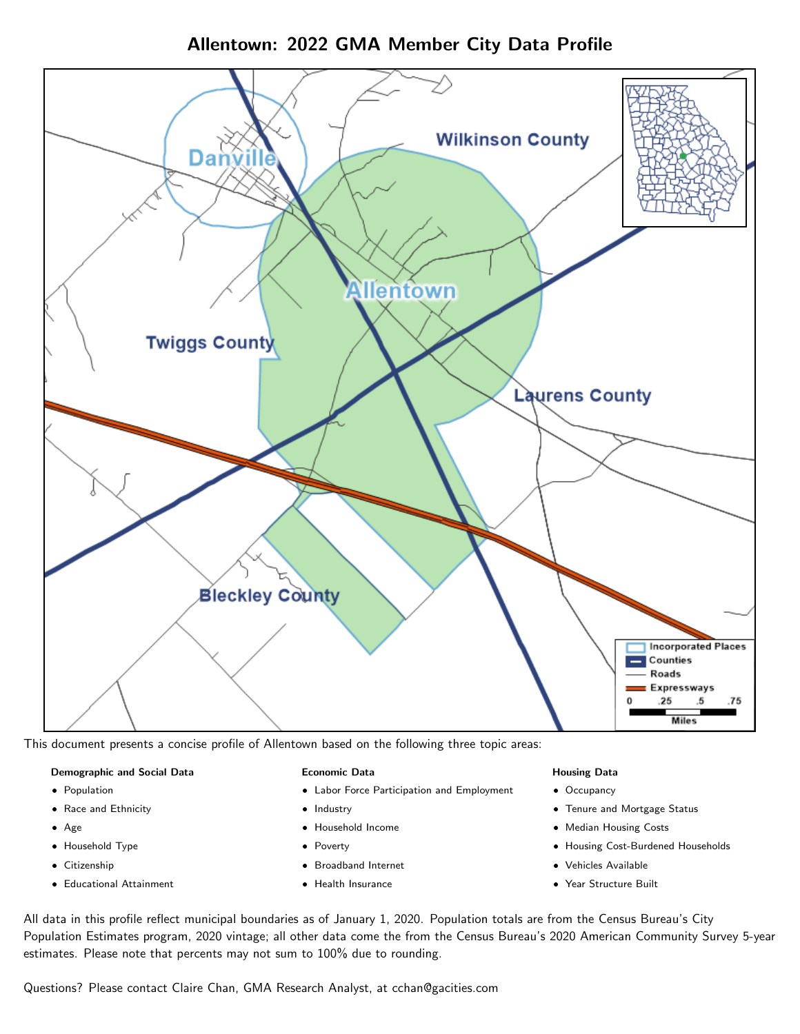Allentown: 2022 GMA Member City Data Profile



This document presents a concise profile of Allentown based on the following three topic areas:

#### Demographic and Social Data

- **•** Population
- Race and Ethnicity
- Age
- Household Type
- **Citizenship**
- Educational Attainment

#### Economic Data

- Labor Force Participation and Employment
- Industry
- Household Income
- Poverty
- Broadband Internet
- Health Insurance

#### Housing Data

- Occupancy
- Tenure and Mortgage Status
- Median Housing Costs
- Housing Cost-Burdened Households
- Vehicles Available
- Year Structure Built

All data in this profile reflect municipal boundaries as of January 1, 2020. Population totals are from the Census Bureau's City Population Estimates program, 2020 vintage; all other data come the from the Census Bureau's 2020 American Community Survey 5-year estimates. Please note that percents may not sum to 100% due to rounding.

Questions? Please contact Claire Chan, GMA Research Analyst, at [cchan@gacities.com.](mailto:cchan@gacities.com)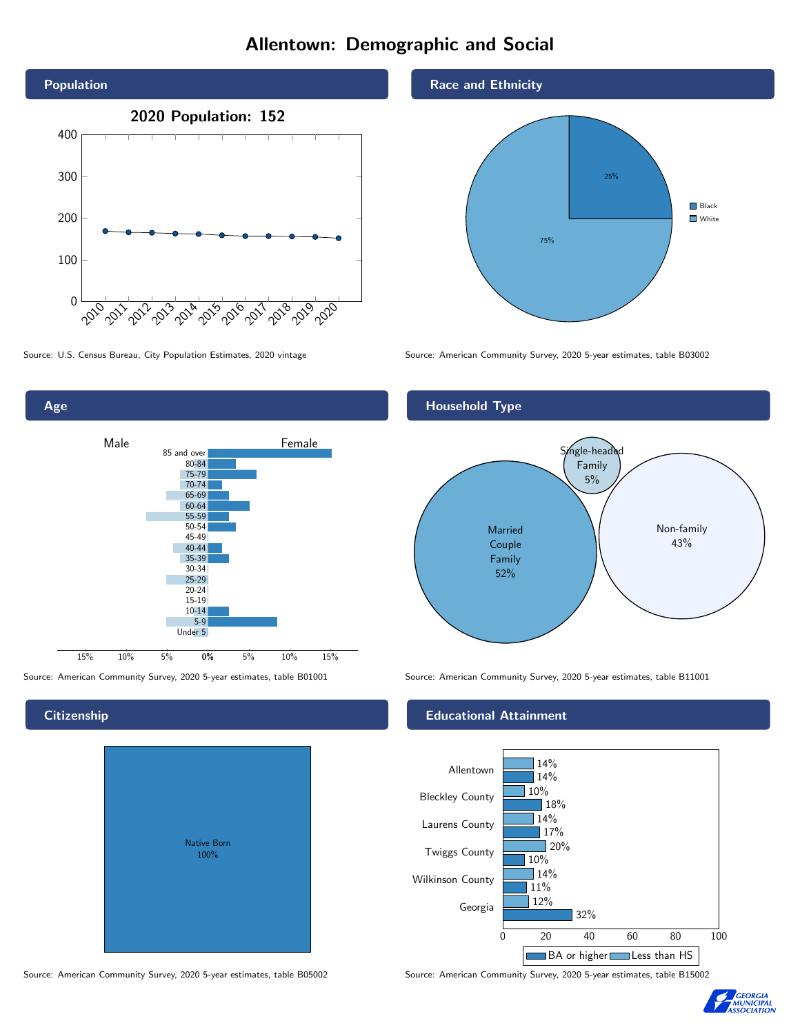# Allentown: Demographic and Social



Age



**Citizenship** 

# Native Born 100%

Race and Ethnicity



Source: U.S. Census Bureau, City Population Estimates, 2020 vintage Source: American Community Survey, 2020 5-year estimates, table B03002



Source: American Community Survey, 2020 5-year estimates, table B01001 Source: American Community Survey, 2020 5-year estimates, table B11001

#### Educational Attainment



Source: American Community Survey, 2020 5-year estimates, table B05002 Source: American Community Survey, 2020 5-year estimates, table B15002

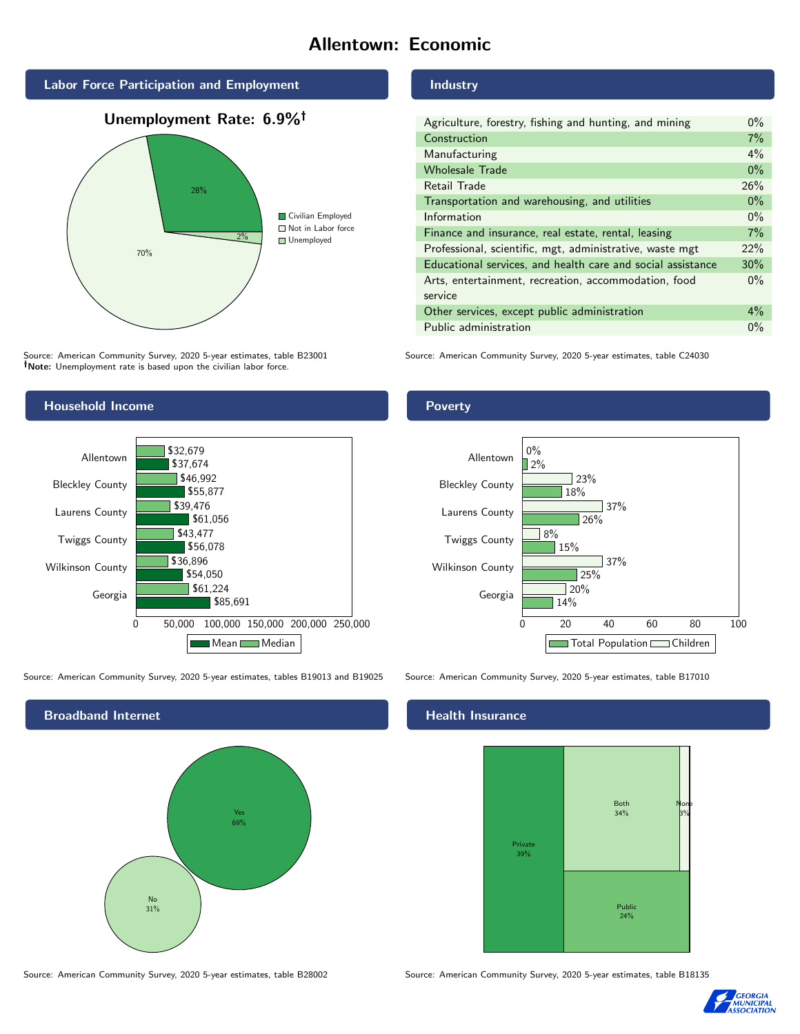# Allentown: Economic







Source: American Community Survey, 2020 5-year estimates, table B23001 Note: Unemployment rate is based upon the civilian labor force.

## Household Income



Source: American Community Survey, 2020 5-year estimates, tables B19013 and B19025 Source: American Community Survey, 2020 5-year estimates, table B17010



Source: American Community Survey, 2020 5-year estimates, table B28002 Source: American Community Survey, 2020 5-year estimates, table B18135

#### Industry

| Agriculture, forestry, fishing and hunting, and mining      | $0\%$ |
|-------------------------------------------------------------|-------|
| Construction                                                | 7%    |
| Manufacturing                                               | 4%    |
| <b>Wholesale Trade</b>                                      | $0\%$ |
| Retail Trade                                                | 26%   |
| Transportation and warehousing, and utilities               | $0\%$ |
| Information                                                 | $0\%$ |
| Finance and insurance, real estate, rental, leasing         | 7%    |
| Professional, scientific, mgt, administrative, waste mgt    | 22%   |
| Educational services, and health care and social assistance | 30%   |
| Arts, entertainment, recreation, accommodation, food        | $0\%$ |
| service                                                     |       |
| Other services, except public administration                | $4\%$ |
| Public administration                                       | $0\%$ |

Source: American Community Survey, 2020 5-year estimates, table C24030

#### Poverty



#### Health Insurance